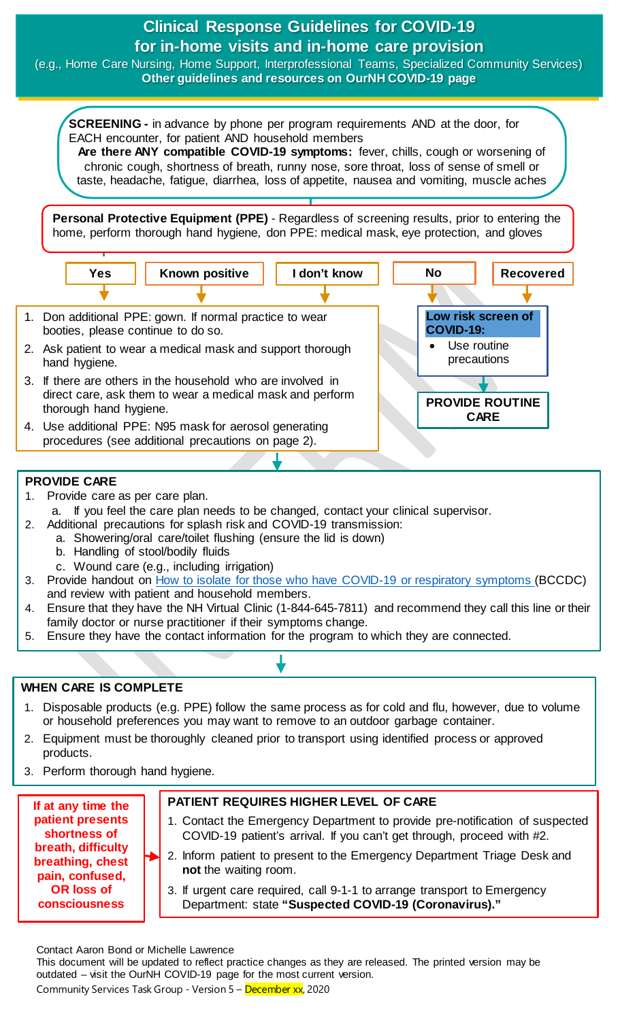### **Clinical Response Guidelines for COVID-19 for in-home visits and in-home care provision**  (e.g., Home Care Nursing, Home Support, Interprofessional Teams, Specialized Community Services) **Other guidelines and resources on OurNH COVID-19 page Yes SCREENING -** in advance by phone per program requirements AND at the door, for EACH encounter, for patient AND household members **Are there ANY compatible COVID-19 symptoms:** fever, chills, cough or worsening of chronic cough, shortness of breath, runny nose, sore throat, loss of sense of smell or taste, headache, fatigue, diarrhea, loss of appetite, nausea and vomiting, muscle aches **Personal Protective Equipment (PPE)** - Regardless of screening results, prior to entering the home, perform thorough hand hygiene, don PPE: medical mask, eye protection, and gloves **I don't know** 1. Don additional PPE: gown. If normal practice to wear booties, please continue to do so. 2. Ask patient to wear a medical mask and support thorough hand hygiene. 3. If there are others in the household who are involved in direct care, ask them to wear a medical mask and perform thorough hand hygiene. 4. Use additional PPE: N95 mask for aerosol generating Known positive | I don't know | No | Recovered **Low risk screen of COVID-19:**  Use routine precautions **PROVIDE ROUTINE CARE**

### **PROVIDE CARE**

1. Provide care as per care plan.

a. If you feel the care plan needs to be changed, contact your clinical supervisor.

- 2. Additional precautions for splash risk and COVID-19 transmission:
	- a. Showering/oral care/toilet flushing (ensure the lid is down)
	- b. Handling of stool/bodily fluids
	- c. Wound care (e.g., including irrigation)

procedures (see additional precautions on page 2).

- 3. Provide handout on [How to isolate for those who have COVID-19 or respiratory symptoms](http://www.bccdc.ca/Health-Info-Site/Documents/Self-isolation.pdf) (BCCDC) and review with patient and household members.
- 4. Ensure that they have the NH Virtual Clinic (1-844-645-7811) and recommend they call this line or their family doctor or nurse practitioner if their symptoms change.
- 5. Ensure they have the contact information for the program to which they are connected.

### **WHEN CARE IS COMPLETE**

- 1. Disposable products (e.g. PPE) follow the same process as for cold and flu, however, due to volume or household preferences you may want to remove to an outdoor garbage container.
- 2. Equipment must be thoroughly cleaned prior to transport using identified process or approved products.
- 3. Perform thorough hand hygiene.

**If at any time the patient presents shortness of breath, difficulty breathing, chest pain, confused, OR loss of consciousness** 

## **PATIENT REQUIRES HIGHER LEVEL OF CARE**

- 1. Contact the Emergency Department to provide pre-notification of suspected COVID-19 patient's arrival. If you can't get through, proceed with #2.
- 2. Inform patient to present to the Emergency Department Triage Desk and **not** the waiting room.
- 3. If urgent care required, call 9-1-1 to arrange transport to Emergency Department: state **"Suspected COVID-19 (Coronavirus)."**

Contact Aaron Bond or Michelle Lawrence

This document will be updated to reflect practice changes as they are released. The printed version may be outdated – visit the OurNH COVID-19 page for the most current version. Community Services Task Group - Version 5 – December xx, 2020